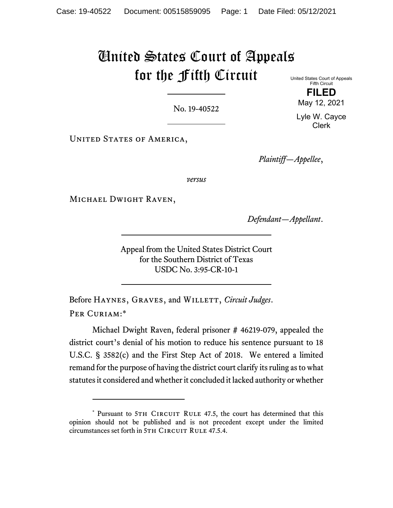## United States Court of Appeals for the Fifth Circuit

No. 19-40522

United States Court of Appeals Fifth Circuit **FILED** 

May 12, 2021

Lyle W. Cayce Clerk

UNITED STATES OF AMERICA,

*Plaintiff—Appellee*,

*versus*

Michael Dwight Raven,

*Defendant—Appellant*.

Appeal from the United States District Court for the Southern District of Texas USDC No. 3:95-CR-10-1

Before HAYNES, GRAVES, and WILLETT, *Circuit Judges*. PER CURIAM:\*

Michael Dwight Raven, federal prisoner # 46219-079, appealed the district court's denial of his motion to reduce his sentence pursuant to 18 U.S.C. § 3582(c) and the First Step Act of 2018. We entered a limited remand for the purpose of having the district court clarify its ruling as to what statutes it considered and whether it concluded it lacked authority or whether

<sup>\*</sup> Pursuant to 5TH CIRCUIT RULE 47.5, the court has determined that this opinion should not be published and is not precedent except under the limited circumstances set forth in 5TH CIRCUIT RULE 47.5.4.